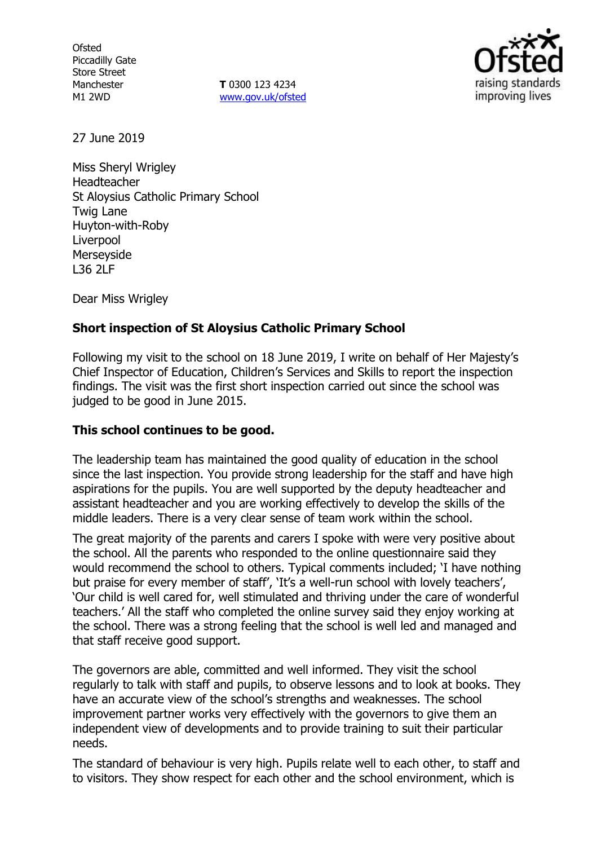**Ofsted** Piccadilly Gate Store Street Manchester M1 2WD

**T** 0300 123 4234 www.gov.uk/ofsted



27 June 2019

Miss Sheryl Wrigley Headteacher St Aloysius Catholic Primary School Twig Lane Huyton-with-Roby Liverpool Merseyside L36 2LF

Dear Miss Wrigley

# **Short inspection of St Aloysius Catholic Primary School**

Following my visit to the school on 18 June 2019, I write on behalf of Her Majesty's Chief Inspector of Education, Children's Services and Skills to report the inspection findings. The visit was the first short inspection carried out since the school was judged to be good in June 2015.

# **This school continues to be good.**

The leadership team has maintained the good quality of education in the school since the last inspection. You provide strong leadership for the staff and have high aspirations for the pupils. You are well supported by the deputy headteacher and assistant headteacher and you are working effectively to develop the skills of the middle leaders. There is a very clear sense of team work within the school.

The great majority of the parents and carers I spoke with were very positive about the school. All the parents who responded to the online questionnaire said they would recommend the school to others. Typical comments included; 'I have nothing but praise for every member of staff', 'It's a well-run school with lovely teachers', 'Our child is well cared for, well stimulated and thriving under the care of wonderful teachers.' All the staff who completed the online survey said they enjoy working at the school. There was a strong feeling that the school is well led and managed and that staff receive good support.

The governors are able, committed and well informed. They visit the school regularly to talk with staff and pupils, to observe lessons and to look at books. They have an accurate view of the school's strengths and weaknesses. The school improvement partner works very effectively with the governors to give them an independent view of developments and to provide training to suit their particular needs.

The standard of behaviour is very high. Pupils relate well to each other, to staff and to visitors. They show respect for each other and the school environment, which is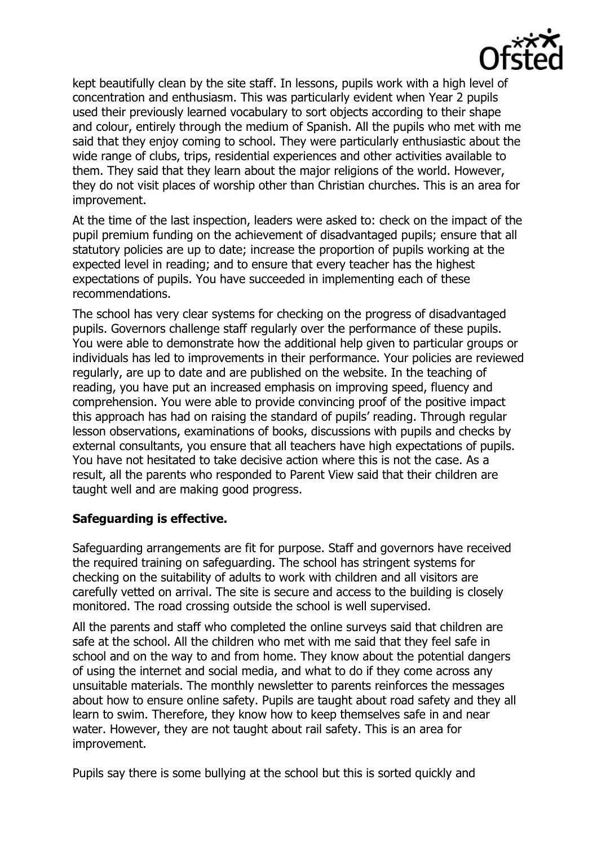

kept beautifully clean by the site staff. In lessons, pupils work with a high level of concentration and enthusiasm. This was particularly evident when Year 2 pupils used their previously learned vocabulary to sort objects according to their shape and colour, entirely through the medium of Spanish. All the pupils who met with me said that they enjoy coming to school. They were particularly enthusiastic about the wide range of clubs, trips, residential experiences and other activities available to them. They said that they learn about the major religions of the world. However, they do not visit places of worship other than Christian churches. This is an area for improvement.

At the time of the last inspection, leaders were asked to: check on the impact of the pupil premium funding on the achievement of disadvantaged pupils; ensure that all statutory policies are up to date; increase the proportion of pupils working at the expected level in reading; and to ensure that every teacher has the highest expectations of pupils. You have succeeded in implementing each of these recommendations.

The school has very clear systems for checking on the progress of disadvantaged pupils. Governors challenge staff regularly over the performance of these pupils. You were able to demonstrate how the additional help given to particular groups or individuals has led to improvements in their performance. Your policies are reviewed regularly, are up to date and are published on the website. In the teaching of reading, you have put an increased emphasis on improving speed, fluency and comprehension. You were able to provide convincing proof of the positive impact this approach has had on raising the standard of pupils' reading. Through regular lesson observations, examinations of books, discussions with pupils and checks by external consultants, you ensure that all teachers have high expectations of pupils. You have not hesitated to take decisive action where this is not the case. As a result, all the parents who responded to Parent View said that their children are taught well and are making good progress.

# **Safeguarding is effective.**

Safeguarding arrangements are fit for purpose. Staff and governors have received the required training on safeguarding. The school has stringent systems for checking on the suitability of adults to work with children and all visitors are carefully vetted on arrival. The site is secure and access to the building is closely monitored. The road crossing outside the school is well supervised.

All the parents and staff who completed the online surveys said that children are safe at the school. All the children who met with me said that they feel safe in school and on the way to and from home. They know about the potential dangers of using the internet and social media, and what to do if they come across any unsuitable materials. The monthly newsletter to parents reinforces the messages about how to ensure online safety. Pupils are taught about road safety and they all learn to swim. Therefore, they know how to keep themselves safe in and near water. However, they are not taught about rail safety. This is an area for improvement.

Pupils say there is some bullying at the school but this is sorted quickly and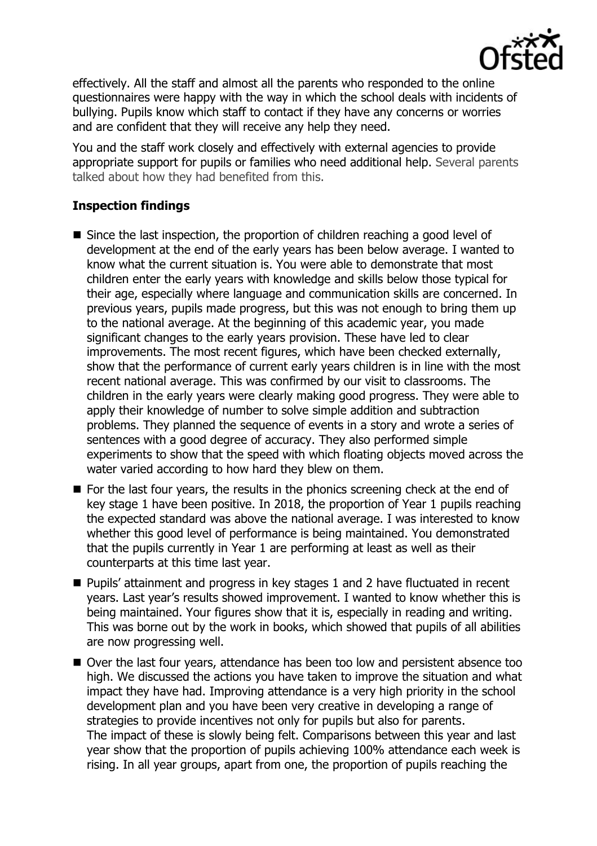

effectively. All the staff and almost all the parents who responded to the online questionnaires were happy with the way in which the school deals with incidents of bullying. Pupils know which staff to contact if they have any concerns or worries and are confident that they will receive any help they need.

You and the staff work closely and effectively with external agencies to provide appropriate support for pupils or families who need additional help. Several parents talked about how they had benefited from this.

# **Inspection findings**

- Since the last inspection, the proportion of children reaching a good level of development at the end of the early years has been below average. I wanted to know what the current situation is. You were able to demonstrate that most children enter the early years with knowledge and skills below those typical for their age, especially where language and communication skills are concerned. In previous years, pupils made progress, but this was not enough to bring them up to the national average. At the beginning of this academic year, you made significant changes to the early years provision. These have led to clear improvements. The most recent figures, which have been checked externally, show that the performance of current early years children is in line with the most recent national average. This was confirmed by our visit to classrooms. The children in the early years were clearly making good progress. They were able to apply their knowledge of number to solve simple addition and subtraction problems. They planned the sequence of events in a story and wrote a series of sentences with a good degree of accuracy. They also performed simple experiments to show that the speed with which floating objects moved across the water varied according to how hard they blew on them.
- $\blacksquare$  For the last four vears, the results in the phonics screening check at the end of key stage 1 have been positive. In 2018, the proportion of Year 1 pupils reaching the expected standard was above the national average. I was interested to know whether this good level of performance is being maintained. You demonstrated that the pupils currently in Year 1 are performing at least as well as their counterparts at this time last year.
- Pupils' attainment and progress in key stages 1 and 2 have fluctuated in recent years. Last year's results showed improvement. I wanted to know whether this is being maintained. Your figures show that it is, especially in reading and writing. This was borne out by the work in books, which showed that pupils of all abilities are now progressing well.
- Over the last four years, attendance has been too low and persistent absence too high. We discussed the actions you have taken to improve the situation and what impact they have had. Improving attendance is a very high priority in the school development plan and you have been very creative in developing a range of strategies to provide incentives not only for pupils but also for parents. The impact of these is slowly being felt. Comparisons between this year and last year show that the proportion of pupils achieving 100% attendance each week is rising. In all year groups, apart from one, the proportion of pupils reaching the